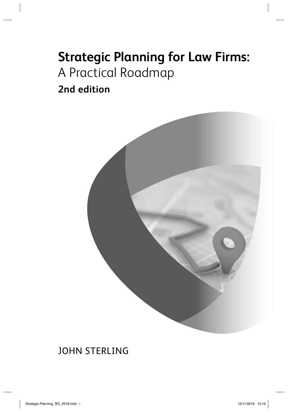# **Strategic Planning for Law Firms:** A Practical Roadmap **2nd edition**



### JOHN STERLING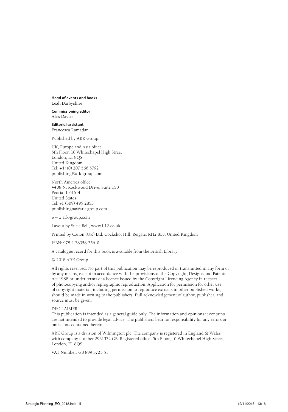**Head of events and books** Leah Darbyshire

**Commissioning editor** Alex Davies

**Editorial assistant** Francesca Ramadan

Published by ARK Group:

UK, Europe and Asia office 5th Floor, 10 Whitechapel High Street London, E1 8QS United Kingdom Tel: +44(0) 207 566 5792 publishing@ark-group.com

North America office 4408 N. Rockwood Drive, Suite 150 Peoria IL 61614 United States Tel: +1 (309) 495 2853 publishingna@ark-group.com

www.ark-group.com

Layout by Susie Bell, www.f-12.co.uk

Printed by Canon (UK) Ltd, Cockshot Hill, Reigate, RH2 8BF, United Kingdom

ISBN: 978-1-78358-356-0

A catalogue record for this book is available from the British Library

© 2018 ARK Group

All rights reserved. No part of this publication may be reproduced or transmitted in any form or by any means, except in accordance with the provisions of the Copyright, Designs and Patents Act 1988 or under terms of a licence issued by the Copyright Licencing Agency in respect of photocopying and/or reprographic reproduction. Application for permission for other use of copyright material, including permission to reproduce extracts in other published works, should be made in writing to the publishers. Full acknowledgement of author, publisher, and source must be given.

#### DISCLAIMER

This publication is intended as a general guide only. The information and opinions it contains are not intended to provide legal advice. The publishers bear no responsibility for any errors or omissions contained herein.

ARK Group is a division of Wilmington plc. The company is registered in England & Wales with company number 2931372 GB. Registered office: 5th Floor, 10 Whitechapel High Street, London, E1 8QS.

VAT Number: GB 899 3725 51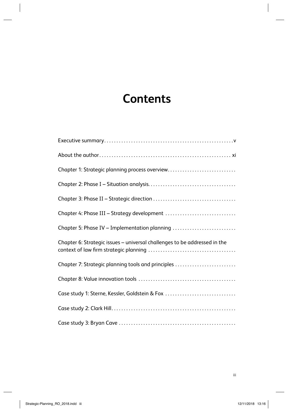## **Contents**

| Chapter 1: Strategic planning process overview                            |
|---------------------------------------------------------------------------|
|                                                                           |
|                                                                           |
| Chapter 4: Phase III - Strategy development                               |
| Chapter 5: Phase IV - Implementation planning                             |
| Chapter 6: Strategic issues - universal challenges to be addressed in the |
| Chapter 7: Strategic planning tools and principles                        |
|                                                                           |
| Case study 1: Sterne, Kessler, Goldstein & Fox                            |
|                                                                           |
|                                                                           |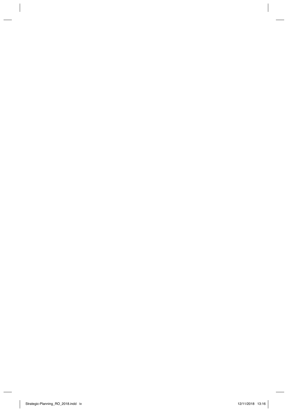$\overline{\phantom{a}}$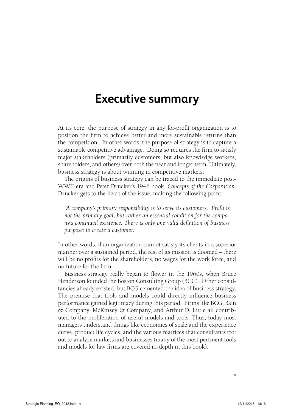## **Executive summary**

At its core, the purpose of strategy in any for-profit organization is to position the firm to achieve better and more sustainable returns than the competition. In other words, the purpose of strategy is to capture a sustainable competitive advantage. Doing so requires the firm to satisfy major stakeholders (primarily customers, but also knowledge workers, shareholders, and others) over both the near and longer term. Ultimately, business strategy is about winning in competitive markets.

The origins of business strategy can be traced to the immediate post-WWII era and Peter Drucker's 1946 book, *Concepts of the Corporation*. Drucker gets to the heart of the issue, making the following point:

*"A company's primary responsibility is to serve its customers. Profi t is not the primary goal, but rather an essential condition for the compa*ny's continued existence. There is only one valid definition of business *purpose: to create a customer."*

In other words, if an organization cannot satisfy its clients in a superior manner over a sustained period, the rest of its mission is doomed – there will be no profits for the shareholders, no wages for the work force, and no future for the firm.

Business strategy really began to flower in the 1960s, when Bruce Henderson founded the Boston Consulting Group (BCG). Other consultancies already existed, but BCG cemented the idea of business strategy. The premise that tools and models could directly influence business performance gained legitimacy during this period. Firms like BCG, Bain & Company, McKinsey & Company, and Arthur D. Little all contributed to the proliferation of useful models and tools. Thus, today most managers understand things like economies of scale and the experience curve, product life cycles, and the various matrices that consultants trot out to analyze markets and businesses (many of the most pertinent tools and models for law firms are covered in-depth in this book).

Strategic-Planning\_RO\_2018.indd v trategic-Planning\_RO\_2018.indd v trategic-Planning\_RO\_2018.indd 12/11/2018 13:16

v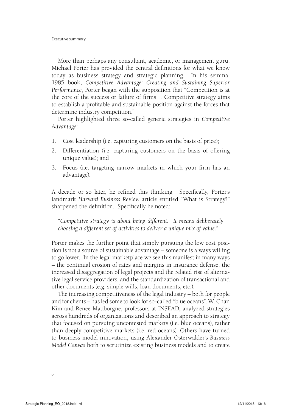More than perhaps any consultant, academic, or management guru, Michael Porter has provided the central definitions for what we know today as business strategy and strategic planning. In his seminal 1985 book, *Competitive Advantage: Creating and Sustaining Superior Performance*, Porter began with the supposition that "Competition is at the core of the success or failure of firms... Competitive strategy aims to establish a profitable and sustainable position against the forces that determine industry competition."

Porter highlighted three so-called generic strategies in *Competitive Advantage*:

- 1. Cost leadership (i.e. capturing customers on the basis of price);
- 2. Differentiation (i.e. capturing customers on the basis of offering unique value); and
- 3. Focus (i.e. targeting narrow markets in which your firm has an advantage).

A decade or so later, he refined this thinking. Specifically, Porter's landmark *Harvard Business Review* article entitled "What is Strategy?" sharpened the definition. Specifically he noted:

*"Competitive strategy is about being different. It means deliberately choosing a different set of activities to deliver a unique mix of value."* 

Porter makes the further point that simply pursuing the low cost position is not a source of sustainable advantage – someone is always willing to go lower. In the legal marketplace we see this manifest in many ways – the continual erosion of rates and margins in insurance defense, the increased disaggregation of legal projects and the related rise of alternative legal service providers, and the standardization of transactional and other documents (e.g. simple wills, loan documents, etc.).

The increasing competitiveness of the legal industry – both for people and for clients – has led some to look for so-called "blue oceans". W. Chan Kim and Renée Mauborgne, professors at INSEAD, analyzed strategies across hundreds of organizations and described an approach to strategy that focused on pursuing uncontested markets (i.e. blue oceans), rather than deeply competitive markets (i.e. red oceans). Others have turned to business model innovation, using Alexander Osterwalder's *Business Model Canvas* both to scrutinize existing business models and to create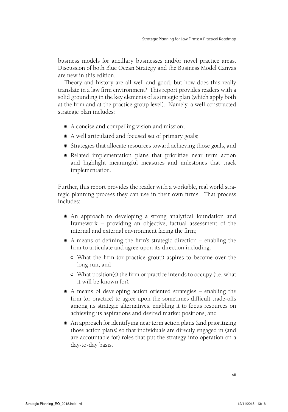business models for ancillary businesses and/or novel practice areas. Discussion of both Blue Ocean Strategy and the Business Model Canvas are new in this edition.

Theory and history are all well and good, but how does this really translate in a law firm environment? This report provides readers with a solid grounding in the key elements of a strategic plan (which apply both at the firm and at the practice group level). Namely, a well constructed strategic plan includes:

- A concise and compelling vision and mission;
- A well articulated and focused set of primary goals;
- Strategies that allocate resources toward achieving those goals; and
- Related implementation plans that prioritize near term action and highlight meaningful measures and milestones that track implementation.

Further, this report provides the reader with a workable, real world strategic planning process they can use in their own firms. That process includes:

- An approach to developing a strong analytical foundation and framework – providing an objective, factual assessment of the internal and external environment facing the firm;
- $\bullet$  A means of defining the firm's strategic direction enabling the firm to articulate and agree upon its direction including:
	- What the firm (or practice group) aspires to become over the long run; and
	- $\circ$  What position(s) the firm or practice intends to occupy (i.e. what it will be known for).
- A means of developing action oriented strategies enabling the firm (or practice) to agree upon the sometimes difficult trade-offs among its strategic alternatives, enabling it to focus resources on achieving its aspirations and desired market positions; and
- An approach for identifying near term action plans (and prioritizing those action plans) so that individuals are directly engaged in (and are accountable for) roles that put the strategy into operation on a day-to-day basis.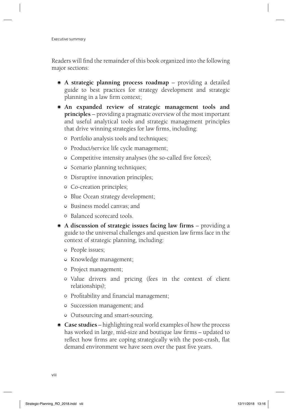Readers will find the remainder of this book organized into the following major sections:

- **A strategic planning process roadmap** providing a detailed guide to best practices for strategy development and strategic planning in a law firm context;
- **An expanded review of strategic management tools and principles** – providing a pragmatic overview of the most important and useful analytical tools and strategic management principles that drive winning strategies for law firms, including:
	- Portfolio analysis tools and techniques;
	- Product/service life cycle management;
	- Competitive intensity analyses (the so-called five forces);
	- Scenario planning techniques;
	- Disruptive innovation principles;
	- Co-creation principles;
	- Blue Ocean strategy development;
	- Business model canvas; and
	- Balanced scorecard tools.
- **A discussion of strategic issues facing law firms** providing a guide to the universal challenges and question law firms face in the context of strategic planning, including:
	- People issues;
	- Knowledge management;
	- Project management;
	- Value drivers and pricing (fees in the context of client relationships);
	- Profitability and financial management;
	- Succession management; and
	- Outsourcing and smart-sourcing.
- **Case studies** highlighting real world examples of how the process has worked in large, mid-size and boutique law firms – updated to reflect how firms are coping strategically with the post-crash, flat demand environment we have seen over the past five years.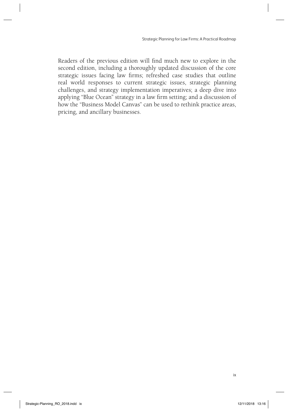Strategic Planning for Law Firms: A Practical Roadmap

Readers of the previous edition will find much new to explore in the second edition, including a thoroughly updated discussion of the core strategic issues facing law firms; refreshed case studies that outline real world responses to current strategic issues, strategic planning challenges, and strategy implementation imperatives; a deep dive into applying "Blue Ocean" strategy in a law firm setting; and a discussion of how the "Business Model Canvas" can be used to rethink practice areas, pricing, and ancillary businesses.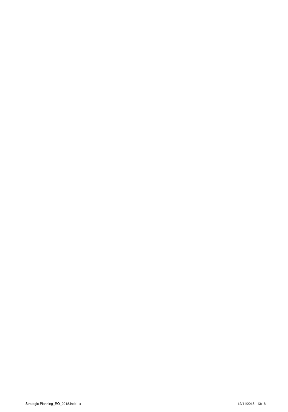$\overline{\phantom{a}}$